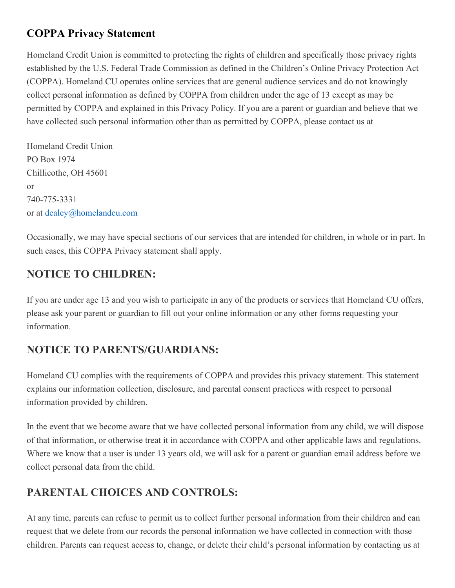## **COPPA Privacy Statement**

Homeland Credit Union is committed to protecting the rights of children and specifically those privacy rights established by the U.S. Federal Trade Commission as defined in the Children's Online Privacy Protection Act (COPPA). Homeland CU operates online services that are general audience services and do not knowingly collect personal information as defined by COPPA from children under the age of 13 except as may be permitted by COPPA and explained in this Privacy Policy. If you are a parent or guardian and believe that we have collected such personal information other than as permitted by COPPA, please contact us at

Homeland Credit Union PO Box 1974 Chillicothe, OH 45601 or 740-775-3331 or at [dealey@homelandcu.com](mailto:dealey@homelandcu.com)

Occasionally, we may have special sections of our services that are intended for children, in whole or in part. In such cases, this COPPA Privacy statement shall apply.

# **NOTICE TO CHILDREN:**

If you are under age 13 and you wish to participate in any of the products or services that Homeland CU offers, please ask your parent or guardian to fill out your online information or any other forms requesting your information.

## **NOTICE TO PARENTS/GUARDIANS:**

Homeland CU complies with the requirements of COPPA and provides this privacy statement. This statement explains our information collection, disclosure, and parental consent practices with respect to personal information provided by children.

In the event that we become aware that we have collected personal information from any child, we will dispose of that information, or otherwise treat it in accordance with COPPA and other applicable laws and regulations. Where we know that a user is under 13 years old, we will ask for a parent or guardian email address before we collect personal data from the child.

## **PARENTAL CHOICES AND CONTROLS:**

At any time, parents can refuse to permit us to collect further personal information from their children and can request that we delete from our records the personal information we have collected in connection with those children. Parents can request access to, change, or delete their child's personal information by contacting us at